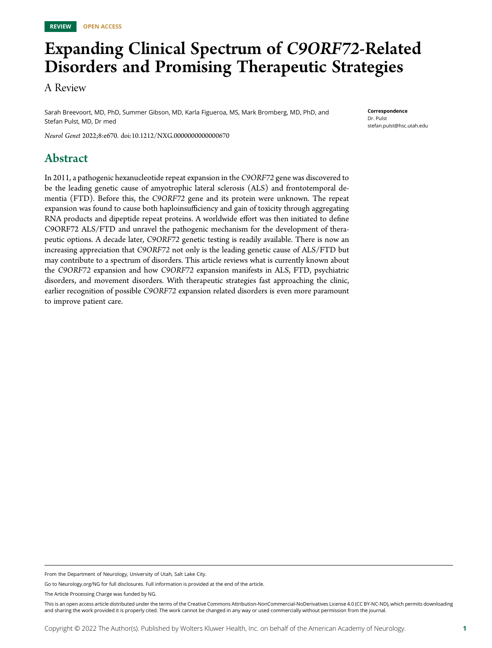# Expanding Clinical Spectrum of C9ORF72-Related Disorders and Promising Therapeutic Strategies

A Review

Sarah Breevoort, MD, PhD, Summer Gibson, MD, Karla Figueroa, MS, Mark Bromberg, MD, PhD, and Stefan Pulst, MD, Dr med

Neurol Genet 2022;8:e670. doi:[10.1212/NXG.0000000000000670](http://dx.doi.org/10.1212/NXG.0000000000000670)

# Abstract

In 2011, a pathogenic hexanucleotide repeat expansion in the C9ORF72 gene was discovered to be the leading genetic cause of amyotrophic lateral sclerosis (ALS) and frontotemporal dementia (FTD). Before this, the C9ORF72 gene and its protein were unknown. The repeat expansion was found to cause both haploinsufficiency and gain of toxicity through aggregating RNA products and dipeptide repeat proteins. A worldwide effort was then initiated to define C9ORF72 ALS/FTD and unravel the pathogenic mechanism for the development of therapeutic options. A decade later, C9ORF72 genetic testing is readily available. There is now an increasing appreciation that C9ORF72 not only is the leading genetic cause of ALS/FTD but may contribute to a spectrum of disorders. This article reviews what is currently known about the C9ORF72 expansion and how C9ORF72 expansion manifests in ALS, FTD, psychiatric disorders, and movement disorders. With therapeutic strategies fast approaching the clinic, earlier recognition of possible C9ORF72 expansion related disorders is even more paramount to improve patient care.

**Correspondence** Dr. Pulst [stefan.pulst@hsc.utah.edu](mailto:stefan.pulst@hsc.utah.edu)

From the Department of Neurology, University of Utah, Salt Lake City.

Go to [Neurology.org/NG](http://ng.neurology.org/lookup/doi/10.1212/NXG.0000000000000670) for full disclosures. Full information is provided at the end of the article.

The Article Processing Charge was funded by NG.

This is an open access article distributed under the terms of the [Creative Commons Attribution-NonCommercial-NoDerivatives License 4.0 \(CC BY-NC-ND\),](http://creativecommons.org/licenses/by-nc-nd/4.0/) which permits downloading and sharing the work provided it is properly cited. The work cannot be changed in any way or used commercially without permission from the journal.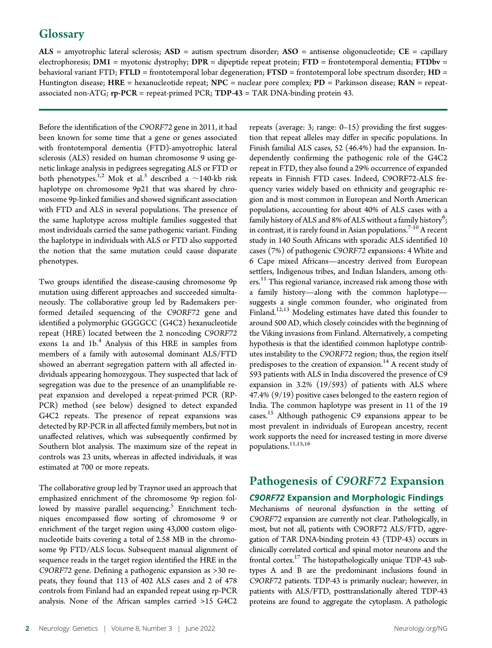$ALS$  = amyotrophic lateral sclerosis;  $ASD$  = autism spectrum disorder;  $ASO$  = antisense oligonucleotide;  $CE$  = capillary electrophoresis; DM1 = myotonic dystrophy; DPR = dipeptide repeat protein; FTD = frontotemporal dementia; FTDbv = behavioral variant FTD; FTLD = frontotemporal lobar degeneration; FTSD = frontotemporal lobe spectrum disorder; HD = Huntington disease; HRE = hexanucleotide repeat; NPC = nuclear pore complex;  $PD =$  Parkinson disease; RAN = repeatassociated non-ATG; rp-PCR = repeat-primed PCR; TDP-43 = TAR DNA-binding protein 43.

Before the identification of the C9ORF72 gene in 2011, it had been known for some time that a gene or genes associated with frontotemporal dementia (FTD)-amyotrophic lateral sclerosis (ALS) resided on human chromosome 9 using genetic linkage analysis in pedigrees segregating ALS or FTD or both phenotypes.<sup>1,2</sup> Mok et al.<sup>3</sup> described a  $\sim$ 140-kb risk haplotype on chromosome 9p21 that was shared by chromosome 9p-linked families and showed significant association with FTD and ALS in several populations. The presence of the same haplotype across multiple families suggested that most individuals carried the same pathogenic variant. Finding the haplotype in individuals with ALS or FTD also supported the notion that the same mutation could cause disparate phenotypes.

Two groups identified the disease-causing chromosome 9p mutation using different approaches and succeeded simultaneously. The collaborative group led by Rademakers performed detailed sequencing of the C9ORF72 gene and identified a polymorphic GGGGCC (G4C2) hexanucleotide repeat (HRE) located between the 2 noncoding C9ORF72 exons 1a and 1b.<sup>4</sup> Analysis of this HRE in samples from members of a family with autosomal dominant ALS/FTD showed an aberrant segregation pattern with all affected individuals appearing homozygous. They suspected that lack of segregation was due to the presence of an unamplifiable repeat expansion and developed a repeat-primed PCR (RP-PCR) method (see below) designed to detect expanded G4C2 repeats. The presence of repeat expansions was detected by RP-PCR in all affected family members, but not in unaffected relatives, which was subsequently confirmed by Southern blot analysis. The maximum size of the repeat in controls was 23 units, whereas in affected individuals, it was estimated at 700 or more repeats.

The collaborative group led by Traynor used an approach that emphasized enrichment of the chromosome 9p region followed by massive parallel sequencing.<sup>5</sup> Enrichment techniques encompassed flow sorting of chromosome 9 or enrichment of the target region using 43,000 custom oligonucleotide baits covering a total of 2.58 MB in the chromosome 9p FTD/ALS locus. Subsequent manual alignment of sequence reads in the target region identified the HRE in the C9ORF72 gene. Defining a pathogenic expansion as >30 repeats, they found that 113 of 402 ALS cases and 2 of 478 controls from Finland had an expanded repeat using rp-PCR analysis. None of the African samples carried >15 G4C2

repeats (average: 3; range: 0–15) providing the first suggestion that repeat alleles may differ in specific populations. In Finish familial ALS cases, 52 (46.4%) had the expansion. Independently confirming the pathogenic role of the G4C2 repeat in FTD, they also found a 29% occurrence of expanded repeats in Finnish FTD cases. Indeed, C9ORF72-ALS frequency varies widely based on ethnicity and geographic region and is most common in European and North American populations, accounting for about 40% of ALS cases with a family history of ALS and 8% of ALS without a family history $^6;$ in contrast, it is rarely found in Asian populations.<sup>7-10</sup> A recent study in 140 South Africans with sporadic ALS identified 10 cases (7%) of pathogenic C9ORF72 expansions: 4 White and 6 Cape mixed Africans—ancestry derived from European settlers, Indigenous tribes, and Indian Islanders, among others.<sup>11</sup> This regional variance, increased risk among those with a family history—along with the common haplotype suggests a single common founder, who originated from Finland.<sup>12,13</sup> Modeling estimates have dated this founder to around 500 AD, which closely coincides with the beginning of the Viking invasions from Finland. Alternatively, a competing hypothesis is that the identified common haplotype contributes instability to the C9ORF72 region; thus, the region itself predisposes to the creation of expansion.<sup>14</sup> A recent study of 593 patients with ALS in India discovered the presence of C9 expansion in 3.2% (19/593) of patients with ALS where 47.4% (9/19) positive cases belonged to the eastern region of India. The common haplotype was present in 11 of the 19 cases.<sup>15</sup> Although pathogenic C9 expansions appear to be most prevalent in individuals of European ancestry, recent work supports the need for increased testing in more diverse populations.<sup>11,15,16</sup>

# Pathogenesis of C9ORF72 Expansion

### C9ORF72 Expansion and Morphologic Findings

Mechanisms of neuronal dysfunction in the setting of C9ORF72 expansion are currently not clear. Pathologically, in most, but not all, patients with C9ORF72 ALS/FTD, aggregation of TAR DNA-binding protein 43 (TDP-43) occurs in clinically correlated cortical and spinal motor neurons and the frontal cortex.<sup>17</sup> The histopathologically unique TDP-43 subtypes A and B are the predominant inclusions found in C9ORF72 patients. TDP-43 is primarily nuclear; however, in patients with ALS/FTD, posttranslationally altered TDP-43 proteins are found to aggregate the cytoplasm. A pathologic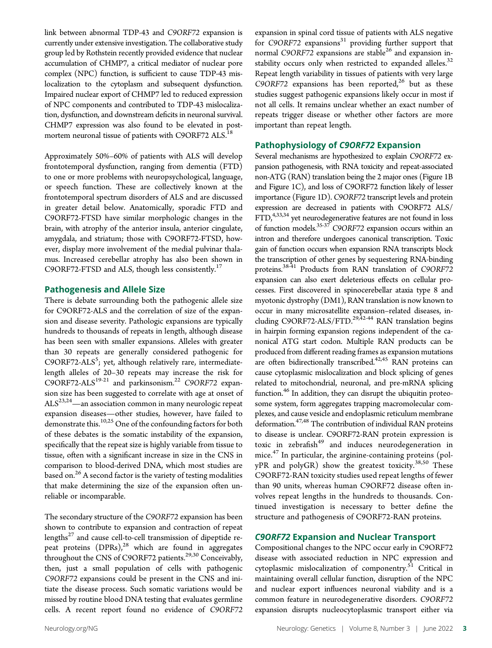link between abnormal TDP-43 and C9ORF72 expansion is currently under extensive investigation. The collaborative study group led by Rothstein recently provided evidence that nuclear accumulation of CHMP7, a critical mediator of nuclear pore complex (NPC) function, is sufficient to cause TDP-43 mislocalization to the cytoplasm and subsequent dysfunction. Impaired nuclear export of CHMP7 led to reduced expression of NPC components and contributed to TDP-43 mislocalization, dysfunction, and downstream deficits in neuronal survival. CHMP7 expression was also found to be elevated in postmortem neuronal tissue of patients with C9ORF72 ALS.<sup>18</sup>

Approximately 50%–60% of patients with ALS will develop frontotemporal dysfunction, ranging from dementia (FTD) to one or more problems with neuropsychological, language, or speech function. These are collectively known at the frontotemporal spectrum disorders of ALS and are discussed in greater detail below. Anatomically, sporadic FTD and C9ORF72-FTSD have similar morphologic changes in the brain, with atrophy of the anterior insula, anterior cingulate, amygdala, and striatum; those with C9ORF72-FTSD, however, display more involvement of the medial pulvinar thalamus. Increased cerebellar atrophy has also been shown in C9ORF72-FTSD and ALS, though less consistently. $^{17}$ 

### Pathogenesis and Allele Size

There is debate surrounding both the pathogenic allele size for C9ORF72-ALS and the correlation of size of the expansion and disease severity. Pathologic expansions are typically hundreds to thousands of repeats in length, although disease has been seen with smaller expansions. Alleles with greater than 30 repeats are generally considered pathogenic for C9ORF72-ALS<sup>5</sup>; yet, although relatively rare, intermediatelength alleles of 20–30 repeats may increase the risk for C9ORF72-ALS $^{19-21}$  and parkinsonism.<sup>22</sup> C9ORF72 expansion size has been suggested to correlate with age at onset of  $\mathrm{ALS}^{23,24}$ —an association common in many neurologic repeat expansion diseases—other studies, however, have failed to demonstrate this.<sup>10,25</sup> One of the confounding factors for both of these debates is the somatic instability of the expansion, specifically that the repeat size is highly variable from tissue to tissue, often with a significant increase in size in the CNS in comparison to blood-derived DNA, which most studies are based on.<sup>26</sup> A second factor is the variety of testing modalities that make determining the size of the expansion often unreliable or incomparable.

The secondary structure of the C9ORF72 expansion has been shown to contribute to expansion and contraction of repeat lengths $^{27}$  and cause cell-to-cell transmission of dipeptide repeat proteins  $(DPRs)$ ,<sup>28</sup> which are found in aggregates throughout the CNS of C9ORF72 patients.<sup>29,30</sup> Conceivably, then, just a small population of cells with pathogenic C9ORF72 expansions could be present in the CNS and initiate the disease process. Such somatic variations would be missed by routine blood DNA testing that evaluates germline cells. A recent report found no evidence of C9ORF72

expansion in spinal cord tissue of patients with ALS negative for C9ORF72 expansions<sup>31</sup> providing further support that normal C9ORF72 expansions are stable<sup>26</sup> and expansion instability occurs only when restricted to expanded alleles. $32$ Repeat length variability in tissues of patients with very large C9ORF72 expansions has been reported, $26$  but as these studies suggest pathogenic expansions likely occur in most if not all cells. It remains unclear whether an exact number of repeats trigger disease or whether other factors are more important than repeat length.

### Pathophysiology of C9ORF72 Expansion

Several mechanisms are hypothesized to explain C9ORF72 expansion pathogenesis, with RNA toxicity and repeat-associated non-ATG (RAN) translation being the 2 major ones (Figure 1B and Figure 1C), and loss of C9ORF72 function likely of lesser importance (Figure 1D). C9ORF72 transcript levels and protein expression are decreased in patients with C9ORF72 ALS/  $FTD<sub>1</sub><sup>4,33,34</sup>$  yet neurodegenerative features are not found in loss of function models.35-37 C9ORF72 expansion occurs within an intron and therefore undergoes canonical transcription. Toxic gain of function occurs when expansion RNA transcripts block the transcription of other genes by sequestering RNA-binding proteins.<sup>38-41</sup> Products from RAN translation of C9ORF72 expansion can also exert deleterious effects on cellular processes. First discovered in spinocerebellar ataxia type 8 and myotonic dystrophy (DM1), RAN translation is now known to occur in many microsatellite expansion–related diseases, including C9ORF72-ALS/FTD.<sup>29,42-44</sup> RAN translation begins in hairpin forming expansion regions independent of the canonical ATG start codon. Multiple RAN products can be produced from different reading frames as expansion mutations are often bidirectionally transcribed.<sup>42,45</sup> RAN proteins can cause cytoplasmic mislocalization and block splicing of genes related to mitochondrial, neuronal, and pre-mRNA splicing function.<sup>46</sup> In addition, they can disrupt the ubiquitin proteosome system, form aggregates trapping macromolecular complexes, and cause vesicle and endoplasmic reticulum membrane deformation.<sup>47,48</sup> The contribution of individual RAN proteins to disease is unclear. C9ORF72-RAN protein expression is toxic in zebrafish<sup>49</sup> and induces neurodegeneration in mice.<sup>47</sup> In particular, the arginine-containing proteins (pol $yPR$  and polyGR) show the greatest toxicity.<sup>38,50</sup> These C9ORF72-RAN toxicity studies used repeat lengths of fewer than 90 units, whereas human C9ORF72 disease often involves repeat lengths in the hundreds to thousands. Continued investigation is necessary to better define the structure and pathogenesis of C9ORF72-RAN proteins.

### C9ORF72 Expansion and Nuclear Transport

Compositional changes to the NPC occur early in C9ORF72 disease with associated reduction in NPC expression and cytoplasmic mislocalization of componentry.<sup>51</sup> Critical in maintaining overall cellular function, disruption of the NPC and nuclear export influences neuronal viability and is a common feature in neurodegenerative disorders. C9ORF72 expansion disrupts nucleocytoplasmic transport either via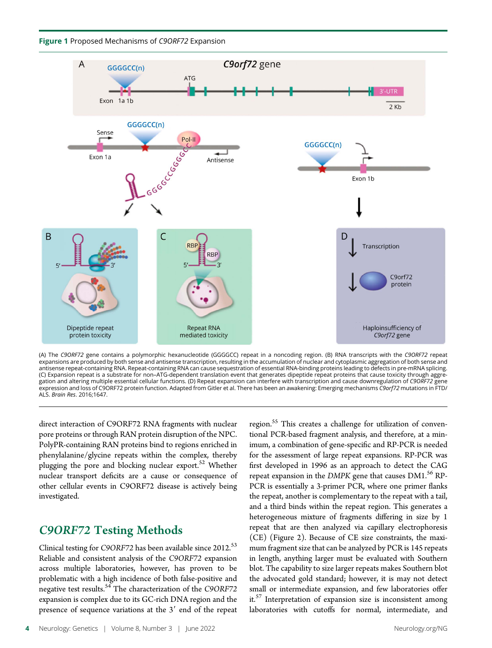



(A) The *C9ORF72* gene contains a polymorphic hexanucleotide (GGGGCC) repeat in a noncoding region. (B) RNA transcripts with the *C9ORF72* repeat<br>expansions are produced by both sense and antisense transcription, resulting antisense repeat-containing RNA. Repeat-containing RNA can cause sequestration of essential RNA-binding proteins leading to defects in pre-mRNA splicing. (C) Expansion repeat is a substrate for non–ATG-dependent translation event that generates dipeptide repeat proteins that cause toxicity through aggregation and altering multiple essential cellular functions. (D) Repeat expansion can interfere with transcription and cause downregulation of C9ORF72 gene expression and loss of C9ORF72 protein function. Adapted from Gitler et al. There has been an awakening: Emerging mechanisms C9orf72 mutations in FTD/ ALS. Brain Res. 2016;1647.

direct interaction of C9ORF72 RNA fragments with nuclear pore proteins or through RAN protein disruption of the NPC. PolyPR-containing RAN proteins bind to regions enriched in phenylalanine/glycine repeats within the complex, thereby plugging the pore and blocking nuclear export.<sup>52</sup> Whether nuclear transport deficits are a cause or consequence of other cellular events in C9ORF72 disease is actively being investigated.

## C9ORF72 Testing Methods

Clinical testing for C9ORF72 has been available since 2012.<sup>53</sup> Reliable and consistent analysis of the C9ORF72 expansion across multiple laboratories, however, has proven to be problematic with a high incidence of both false-positive and negative test results.<sup>54</sup> The characterization of the C9ORF72 expansion is complex due to its GC-rich DNA region and the presence of sequence variations at the  $3'$  end of the repeat

region.<sup>55</sup> This creates a challenge for utilization of conventional PCR-based fragment analysis, and therefore, at a minimum, a combination of gene-specific and RP-PCR is needed for the assessment of large repeat expansions. RP-PCR was first developed in 1996 as an approach to detect the CAG repeat expansion in the DMPK gene that causes DM1.<sup>56</sup> RP-PCR is essentially a 3-primer PCR, where one primer flanks the repeat, another is complementary to the repeat with a tail, and a third binds within the repeat region. This generates a heterogeneous mixture of fragments differing in size by 1 repeat that are then analyzed via capillary electrophoresis (CE) (Figure 2). Because of CE size constraints, the maximum fragment size that can be analyzed by PCR is 145 repeats in length, anything larger must be evaluated with Southern blot. The capability to size larger repeats makes Southern blot the advocated gold standard; however, it is may not detect small or intermediate expansion, and few laboratories offer it.<sup>57</sup> Interpretation of expansion size is inconsistent among laboratories with cutoffs for normal, intermediate, and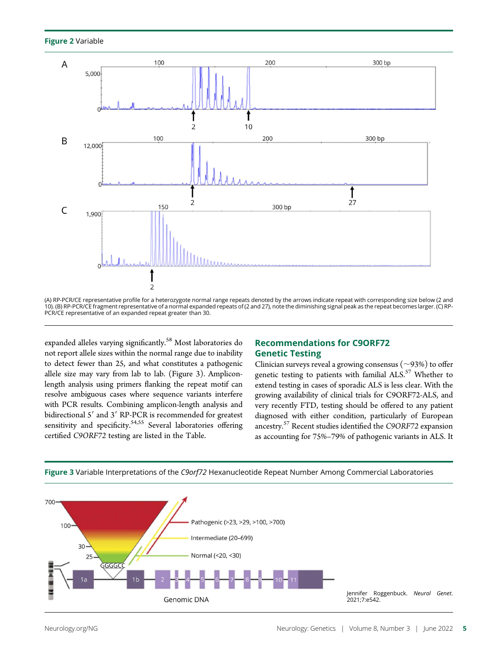



<sup>(</sup>A) RP-PCR/CE representative profile for a heterozygote normal range repeats denoted by the arrows indicate repeat with corresponding size below (2 and 10). (B) RP-PCR/CE fragment representative of a normal expanded repeats of (2 and 27), note the diminishing signal peak as the repeat becomes larger. (C) RP-PCR/CE representative of an expanded repeat greater than 30.

expanded alleles varying significantly.<sup>58</sup> Most laboratories do not report allele sizes within the normal range due to inability to detect fewer than 25, and what constitutes a pathogenic allele size may vary from lab to lab. (Figure 3). Ampliconlength analysis using primers flanking the repeat motif can resolve ambiguous cases where sequence variants interfere with PCR results. Combining amplicon-length analysis and bidirectional 5' and 3' RP-PCR is recommended for greatest sensitivity and specificity.<sup>54,55</sup> Several laboratories offering certified C9ORF72 testing are listed in the Table.

### Recommendations for C9ORF72 Genetic Testing

Clinician surveys reveal a growing consensus ( $\sim$ 93%) to offer genetic testing to patients with familial ALS.<sup>57</sup> Whether to extend testing in cases of sporadic ALS is less clear. With the growing availability of clinical trials for C9ORF72-ALS, and very recently FTD, testing should be offered to any patient diagnosed with either condition, particularly of European ancestry.<sup>57</sup> Recent studies identified the C9ORF72 expansion as accounting for 75%–79% of pathogenic variants in ALS. It



Figure 3 Variable Interpretations of the C9orf72 Hexanucleotide Repeat Number Among Commercial Laboratories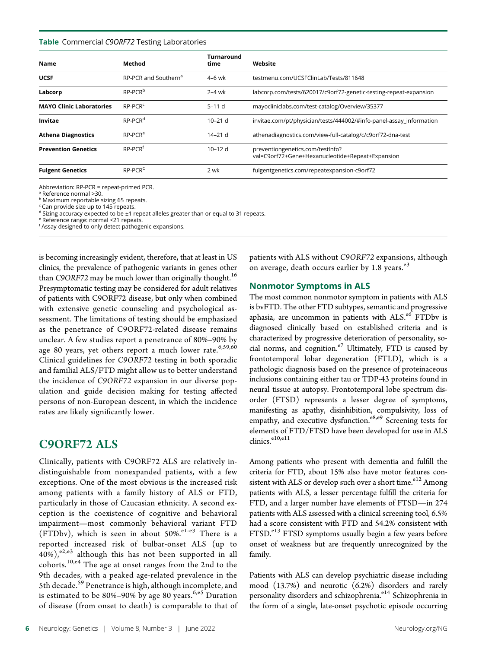### Table Commercial C9ORF72 Testing Laboratories

| <b>Name</b>                     | Method                           | Turnaround<br>time | Website                                                                              |
|---------------------------------|----------------------------------|--------------------|--------------------------------------------------------------------------------------|
| <b>UCSF</b>                     | RP-PCR and Southern <sup>a</sup> | $4-6$ wk           | testmenu.com/UCSFClinLab/Tests/811648                                                |
| Labcorp                         | RP-PCR <sup>b</sup>              | $2-4$ wk           | labcorp.com/tests/620017/c9orf72-genetic-testing-repeat-expansion                    |
| <b>MAYO Clinic Laboratories</b> | RP-PCR <sup>c</sup>              | $5-11d$            | mayocliniclabs.com/test-catalog/Overview/35377                                       |
| Invitae                         | $RP-PCRd$                        | $10 - 21$ d        | invitae.com/pt/physician/tests/444002/#info-panel-assay information                  |
| <b>Athena Diagnostics</b>       | $RP-PCRe$                        | $14 - 21$ d        | athenadiagnostics.com/view-full-catalog/c/c9orf72-dna-test                           |
| <b>Prevention Genetics</b>      | RP-PCR <sup>f</sup>              | $10 - 12d$         | preventiongenetics.com/testInfo?<br>val=C9orf72+Gene+Hexanucleotide+Repeat+Expansion |
| <b>Fulgent Genetics</b>         | $RP-PCRC$                        | 2 wk               | fulgentgenetics.com/repeatexpansion-c9orf72                                          |

Abbreviation: RP-PCR = repeat-primed PCR.

<sup>a</sup> Reference normal >30.

<sup>b</sup> Maximum reportable sizing 65 repeats.

 $\epsilon$  Can provide size up to 145 repeats.

 $d$  Sizing accuracy expected to be  $\pm 1$  repeat alleles greater than or equal to 31 repeats.

<sup>e</sup> Reference range: normal <21 repeats.

f Assay designed to only detect pathogenic expansions.

is becoming increasingly evident, therefore, that at least in US clinics, the prevalence of pathogenic variants in genes other than C9ORF72 may be much lower than originally thought.<sup>16</sup> Presymptomatic testing may be considered for adult relatives of patients with C9ORF72 disease, but only when combined with extensive genetic counseling and psychological assessment. The limitations of testing should be emphasized as the penetrance of C9ORF72-related disease remains unclear. A few studies report a penetrance of 80%–90% by age 80 years, yet others report a much lower rate.<sup>6,59,60</sup> Clinical guidelines for C9ORF72 testing in both sporadic and familial ALS/FTD might allow us to better understand the incidence of C9ORF72 expansion in our diverse population and guide decision making for testing affected persons of non-European descent, in which the incidence rates are likely significantly lower.

### C9ORF72 ALS

Clinically, patients with C9ORF72 ALS are relatively indistinguishable from nonexpanded patients, with a few exceptions. One of the most obvious is the increased risk among patients with a family history of ALS or FTD, particularly in those of Caucasian ethnicity. A second exception is the coexistence of cognitive and behavioral impairment—most commonly behavioral variant FTD (FTDbv), which is seen in about  $50\%$ .  $e^{1-e3}$  There is a reported increased risk of bulbar-onset ALS (up to  $40\%)$ ,  $e^{2}$ ,  $e^{3}$  although this has not been supported in all cohorts.10,e4 The age at onset ranges from the 2nd to the 9th decades, with a peaked age-related prevalence in the 5th decade.<sup>59</sup> Penetrance is high, although incomplete, and is estimated to be  $80\% - 90\%$  by age  $80$  years.  $6, e5$  Duration of disease (from onset to death) is comparable to that of patients with ALS without C9ORF72 expansions, although on average, death occurs earlier by 1.8 years.<sup>e3</sup>

### Nonmotor Symptoms in ALS

The most common nonmotor symptom in patients with ALS is bvFTD. The other FTD subtypes, semantic and progressive aphasia, are uncommon in patients with ALS.<sup>e6</sup> FTDbv is diagnosed clinically based on established criteria and is characterized by progressive deterioration of personality, social norms, and cognition. $e^7$  Ultimately, FTD is caused by frontotemporal lobar degeneration (FTLD), which is a pathologic diagnosis based on the presence of proteinaceous inclusions containing either tau or TDP-43 proteins found in neural tissue at autopsy. Frontotemporal lobe spectrum disorder (FTSD) represents a lesser degree of symptoms, manifesting as apathy, disinhibition, compulsivity, loss of empathy, and executive dysfunction.<sup>e8,e9</sup> Screening tests for elements of FTD/FTSD have been developed for use in ALS clinics.<sup>e10,e11</sup>

Among patients who present with dementia and fulfill the criteria for FTD, about 15% also have motor features consistent with ALS or develop such over a short time. $e^{12}$  Among patients with ALS, a lesser percentage fulfill the criteria for FTD, and a larger number have elements of FTSD—in 274 patients with ALS assessed with a clinical screening tool, 6.5% had a score consistent with FTD and 54.2% consistent with FTSD.<sup>e13</sup> FTSD symptoms usually begin a few years before onset of weakness but are frequently unrecognized by the family.

Patients with ALS can develop psychiatric disease including mood (13.7%) and neurotic (6.2%) disorders and rarely personality disorders and schizophrenia.<sup>e14</sup> Schizophrenia in the form of a single, late-onset psychotic episode occurring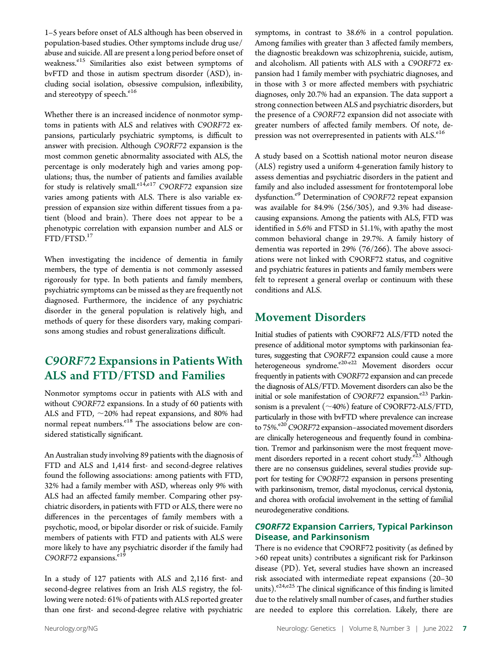1–5 years before onset of ALS although has been observed in population-based studies. Other symptoms include drug use/ abuse and suicide. All are present a long period before onset of weakness.<sup>e15</sup> Similarities also exist between symptoms of bvFTD and those in autism spectrum disorder (ASD), including social isolation, obsessive compulsion, inflexibility, and stereotypy of speech.<sup>e16</sup>

Whether there is an increased incidence of nonmotor symptoms in patients with ALS and relatives with C9ORF72 expansions, particularly psychiatric symptoms, is difficult to answer with precision. Although C9ORF72 expansion is the most common genetic abnormality associated with ALS, the percentage is only moderately high and varies among populations; thus, the number of patients and families available for study is relatively small.<sup>e14,e17</sup> C9ORF72 expansion size varies among patients with ALS. There is also variable expression of expansion size within different tissues from a patient (blood and brain). There does not appear to be a phenotypic correlation with expansion number and ALS or FTD/FTSD.<sup>17</sup>

When investigating the incidence of dementia in family members, the type of dementia is not commonly assessed rigorously for type. In both patients and family members, psychiatric symptoms can be missed as they are frequently not diagnosed. Furthermore, the incidence of any psychiatric disorder in the general population is relatively high, and methods of query for these disorders vary, making comparisons among studies and robust generalizations difficult.

# C9ORF72 Expansions in Patients With ALS and FTD/FTSD and Families

Nonmotor symptoms occur in patients with ALS with and without C9ORF72 expansions. In a study of 60 patients with ALS and FTD,  $\sim$ 20% had repeat expansions, and 80% had normal repeat numbers.<sup>e18</sup> The associations below are considered statistically significant.

An Australian study involving 89 patients with the diagnosis of FTD and ALS and 1,414 first- and second-degree relatives found the following associations: among patients with FTD, 32% had a family member with ASD, whereas only 9% with ALS had an affected family member. Comparing other psychiatric disorders, in patients with FTD or ALS, there were no differences in the percentages of family members with a psychotic, mood, or bipolar disorder or risk of suicide. Family members of patients with FTD and patients with ALS were more likely to have any psychiatric disorder if the family had  $C9ORF72$  expansions.<sup>e19</sup>

In a study of 127 patients with ALS and 2,116 first- and second-degree relatives from an Irish ALS registry, the following were noted: 61% of patients with ALS reported greater than one first- and second-degree relative with psychiatric symptoms, in contrast to 38.6% in a control population. Among families with greater than 3 affected family members, the diagnostic breakdown was schizophrenia, suicide, autism, and alcoholism. All patients with ALS with a C9ORF72 expansion had 1 family member with psychiatric diagnoses, and in those with 3 or more affected members with psychiatric diagnoses, only 20.7% had an expansion. The data support a strong connection between ALS and psychiatric disorders, but the presence of a C9ORF72 expansion did not associate with greater numbers of affected family members. Of note, depression was not overrepresented in patients with ALS.<sup>e16</sup>

A study based on a Scottish national motor neuron disease (ALS) registry used a uniform 4-generation family history to assess dementias and psychiatric disorders in the patient and family and also included assessment for frontotemporal lobe dysfunction.<sup>e9</sup> Determination of C9ORF72 repeat expansion was available for 84.9% (256/305), and 9.3% had diseasecausing expansions. Among the patients with ALS, FTD was identified in 5.6% and FTSD in 51.1%, with apathy the most common behavioral change in 29.7%. A family history of dementia was reported in 29% (76/266). The above associations were not linked with C9ORF72 status, and cognitive and psychiatric features in patients and family members were felt to represent a general overlap or continuum with these conditions and ALS.

# Movement Disorders

Initial studies of patients with C9ORF72 ALS/FTD noted the presence of additional motor symptoms with parkinsonian features, suggesting that C9ORF72 expansion could cause a more heterogeneous syndrome.<sup>e20-e22</sup> Movement disorders occur frequently in patients with C9ORF72 expansion and can precede the diagnosis of ALS/FTD. Movement disorders can also be the initial or sole manifestation of C9ORF72 expansion.<sup>e23</sup> Parkinsonism is a prevalent  $(\sim40\%)$  feature of C9ORF72-ALS/FTD, particularly in those with bvFTD where prevalence can increase to 75%.<sup>e20</sup> C9ORF72 expansion–associated movement disorders are clinically heterogeneous and frequently found in combination. Tremor and parkinsonism were the most frequent movement disorders reported in a recent cohort study.<sup>e23</sup> Although there are no consensus guidelines, several studies provide support for testing for C9ORF72 expansion in persons presenting with parkinsonism, tremor, distal myoclonus, cervical dystonia, and chorea with orofacial involvement in the setting of familial neurodegenerative conditions.

### C9ORF72 Expansion Carriers, Typical Parkinson Disease, and Parkinsonism

There is no evidence that C9ORF72 positivity (as defined by >60 repeat units) contributes a significant risk for Parkinson disease (PD). Yet, several studies have shown an increased risk associated with intermediate repeat expansions (20–30 units).<sup>e24,e25</sup> The clinical significance of this finding is limited due to the relatively small number of cases, and further studies are needed to explore this correlation. Likely, there are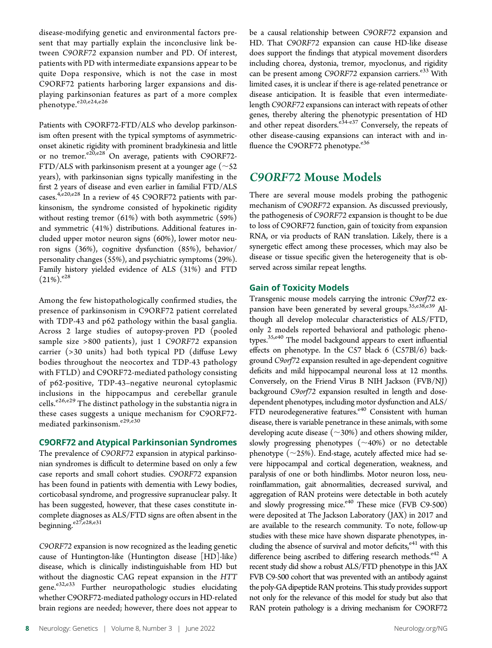disease-modifying genetic and environmental factors present that may partially explain the inconclusive link between C9ORF72 expansion number and PD. Of interest, patients with PD with intermediate expansions appear to be quite Dopa responsive, which is not the case in most C9ORF72 patients harboring larger expansions and displaying parkinsonian features as part of a more complex phenotype.<sup>e20,e24,e26</sup>

Patients with C9ORF72-FTD/ALS who develop parkinsonism often present with the typical symptoms of asymmetriconset akinetic rigidity with prominent bradykinesia and little or no tremor. $e^{20,e^{28}}$  On average, patients with C9ORF72-FTD/ALS with parkinsonism present at a younger age ( $\sim$ 52 years), with parkinsonian signs typically manifesting in the first 2 years of disease and even earlier in familial FTD/ALS cases.<sup>4,e20,e28</sup> In a review of 45 C9ORF72 patients with parkinsonism, the syndrome consisted of hypokinetic rigidity without resting tremor (61%) with both asymmetric (59%) and symmetric (41%) distributions. Additional features included upper motor neuron signs (60%), lower motor neuron signs (36%), cognitive dysfunction (85%), behavior/ personality changes (55%), and psychiatric symptoms (29%). Family history yielded evidence of ALS (31%) and FTD  $(21\%)$ .  $e^{28}$ 

Among the few histopathologically confirmed studies, the presence of parkinsonism in C9ORF72 patient correlated with TDP-43 and p62 pathology within the basal ganglia. Across 2 large studies of autopsy-proven PD (pooled sample size >800 patients), just 1 C9ORF72 expansion carrier (>30 units) had both typical PD (diffuse Lewy bodies throughout the neocortex and TDP-43 pathology with FTLD) and C9ORF72-mediated pathology consisting of p62-positive, TDP-43–negative neuronal cytoplasmic inclusions in the hippocampus and cerebellar granule cells.<sup>e26,e29</sup> The distinct pathology in the substantia nigra in these cases suggests a unique mechanism for C9ORF72 mediated parkinsonism.<sup>e29,e30</sup>

### C9ORF72 and Atypical Parkinsonian Syndromes

The prevalence of C9ORF72 expansion in atypical parkinsonian syndromes is difficult to determine based on only a few case reports and small cohort studies. C9ORF72 expansion has been found in patients with dementia with Lewy bodies, corticobasal syndrome, and progressive supranuclear palsy. It has been suggested, however, that these cases constitute incomplete diagnoses as ALS/FTD signs are often absent in the beginning.<sup>e27,e28,e31</sup>

C9ORF72 expansion is now recognized as the leading genetic cause of Huntington-like (Huntington disease [HD]-like) disease, which is clinically indistinguishable from HD but without the diagnostic CAG repeat expansion in the HTT gene.<sup>e32,e33</sup> Further neuropathologic studies elucidating whether C9ORF72-mediated pathology occurs in HD-related brain regions are needed; however, there does not appear to

be a causal relationship between C9ORF72 expansion and HD. That C9ORF72 expansion can cause HD-like disease does support the findings that atypical movement disorders including chorea, dystonia, tremor, myoclonus, and rigidity can be present among C9ORF72 expansion carriers.<sup>e33</sup> With limited cases, it is unclear if there is age-related penetrance or disease anticipation. It is feasible that even intermediatelength C9ORF72 expansions can interact with repeats of other genes, thereby altering the phenotypic presentation of HD and other repeat disorders. $e^{34-e37}$  Conversely, the repeats of other disease-causing expansions can interact with and influence the C9ORF72 phenotype.<sup>e36</sup>

# C9ORF72 Mouse Models

There are several mouse models probing the pathogenic mechanism of C9ORF72 expansion. As discussed previously, the pathogenesis of C9ORF72 expansion is thought to be due to loss of C9ORF72 function, gain of toxicity from expansion RNA, or via products of RAN translation. Likely, there is a synergetic effect among these processes, which may also be disease or tissue specific given the heterogeneity that is observed across similar repeat lengths.

### Gain of Toxicity Models

Transgenic mouse models carrying the intronic C9orf72 expansion have been generated by several groups.<sup>35,e38</sup>,e39 Although all develop molecular characteristics of ALS/FTD, only 2 models reported behavioral and pathologic phenotypes.<sup>35,e40</sup> The model backgound appears to exert influential effects on phenotype. In the C57 black 6 (C57Bl/6) background C9orf72 expansion resulted in age-dependent cognitive deficits and mild hippocampal neuronal loss at 12 months. Conversely, on the Friend Virus B NIH Jackson (FVB/NJ) background C9orf72 expansion resulted in length and dosedependent phenotypes, including motor dysfunction and ALS/ FTD neurodegenerative features.<sup>e40</sup> Consistent with human disease, there is variable penetrance in these animals, with some developing acute disease  $(\sim$ 30%) and others showing milder, slowly progressing phenotypes  $(\sim40%)$  or no detectable phenotype  $(\sim$ 25%). End-stage, acutely affected mice had severe hippocampal and cortical degeneration, weakness, and paralysis of one or both hindlimbs. Motor neuron loss, neuroinflammation, gait abnormalities, decreased survival, and aggregation of RAN proteins were detectable in both acutely and slowly progressing mice.<sup>e40</sup> These mice (FVB C9-500) were deposited at The Jackson Laboratory (JAX) in 2017 and are available to the research community. To note, follow-up studies with these mice have shown disparate phenotypes, including the absence of survival and motor deficits, $e^{41}$  with this difference being ascribed to differing research methods. $e^{42}$  A recent study did show a robust ALS/FTD phenotype in this JAX FVB C9-500 cohort that was prevented with an antibody against the poly-GA dipeptide RAN proteins. This study provides support not only for the relevance of this model for study but also that RAN protein pathology is a driving mechanism for C9ORF72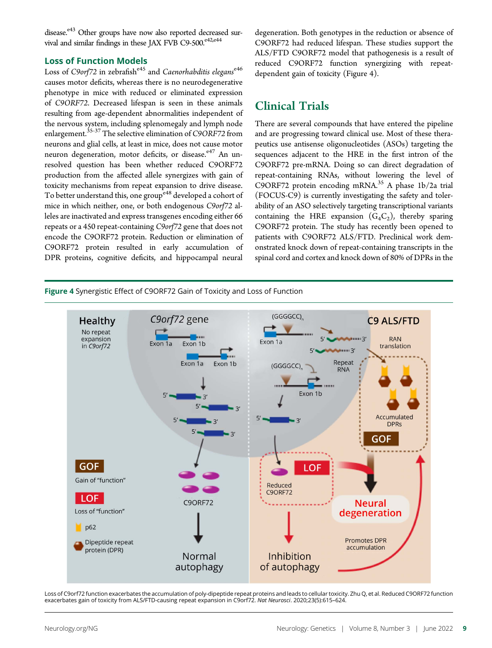disease.<sup>e43</sup> Other groups have now also reported decreased survival and similar findings in these JAX FVB C9-500.<sup>e42,e44</sup>

### Loss of Function Models

Loss of C9orf72 in zebrafishe<sup>45</sup> and Caenorhabditis eleganse<sup>46</sup> causes motor deficits, whereas there is no neurodegenerative phenotype in mice with reduced or eliminated expression of C9ORF72. Decreased lifespan is seen in these animals resulting from age-dependent abnormalities independent of the nervous system, including splenomegaly and lymph node enlargement.<sup>35-37</sup> The selective elimination of C9ORF72 from neurons and glial cells, at least in mice, does not cause motor neuron degeneration, motor deficits, or disease.<sup>e47</sup> An unresolved question has been whether reduced C9ORF72 production from the affected allele synergizes with gain of toxicity mechanisms from repeat expansion to drive disease. To better understand this, one group<sup>e48</sup> developed a cohort of mice in which neither, one, or both endogenous C9orf72 alleles are inactivated and express transgenes encoding either 66 repeats or a 450 repeat-containing C9orf72 gene that does not encode the C9ORF72 protein. Reduction or elimination of C9ORF72 protein resulted in early accumulation of DPR proteins, cognitive deficits, and hippocampal neural degeneration. Both genotypes in the reduction or absence of C9ORF72 had reduced lifespan. These studies support the ALS/FTD C9ORF72 model that pathogenesis is a result of reduced C9ORF72 function synergizing with repeatdependent gain of toxicity (Figure 4).

# Clinical Trials

There are several compounds that have entered the pipeline and are progressing toward clinical use. Most of these therapeutics use antisense oligonucleotides (ASOs) targeting the sequences adjacent to the HRE in the first intron of the C9ORF72 pre-mRNA. Doing so can direct degradation of repeat-containing RNAs, without lowering the level of C9ORF72 protein encoding mRNA.<sup>35</sup> A phase  $1b/2a$  trial (FOCUS-C9) is currently investigating the safety and tolerability of an ASO selectively targeting transcriptional variants containing the HRE expansion  $(G_4C_2)$ , thereby sparing C9ORF72 protein. The study has recently been opened to patients with C9ORF72 ALS/FTD. Preclinical work demonstrated knock down of repeat-containing transcripts in the spinal cord and cortex and knock down of 80% of DPRs in the

Figure 4 Synergistic Effect of C9ORF72 Gain of Toxicity and Loss of Function



Loss of C9orf72 function exacerbates the accumulation of poly-dipeptide repeat proteins and leads to cellular toxicity. Zhu Q, et al. Reduced C9ORF72 function exacerbates gain of toxicity from ALS/FTD-causing repeat expansion in C9orf72. Nat Neurosci. 2020;23(5):615–624.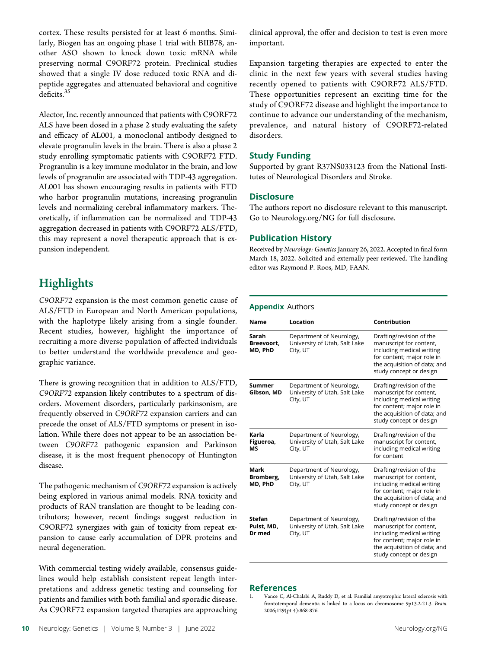cortex. These results persisted for at least 6 months. Similarly, Biogen has an ongoing phase 1 trial with BIIB78, another ASO shown to knock down toxic mRNA while preserving normal C9ORF72 protein. Preclinical studies showed that a single IV dose reduced toxic RNA and dipeptide aggregates and attenuated behavioral and cognitive deficits.<sup>35</sup>

Alector, Inc. recently announced that patients with C9ORF72 ALS have been dosed in a phase 2 study evaluating the safety and efficacy of AL001, a monoclonal antibody designed to elevate progranulin levels in the brain. There is also a phase 2 study enrolling symptomatic patients with C9ORF72 FTD. Progranulin is a key immune modulator in the brain, and low levels of progranulin are associated with TDP-43 aggregation. AL001 has shown encouraging results in patients with FTD who harbor progranulin mutations, increasing progranulin levels and normalizing cerebral inflammatory markers. Theoretically, if inflammation can be normalized and TDP-43 aggregation decreased in patients with C9ORF72 ALS/FTD, this may represent a novel therapeutic approach that is expansion independent.

# **Highlights**

C9ORF72 expansion is the most common genetic cause of ALS/FTD in European and North American populations, with the haplotype likely arising from a single founder. Recent studies, however, highlight the importance of recruiting a more diverse population of affected individuals to better understand the worldwide prevalence and geographic variance.

There is growing recognition that in addition to ALS/FTD, C9ORF72 expansion likely contributes to a spectrum of disorders. Movement disorders, particularly parkinsonism, are frequently observed in C9ORF72 expansion carriers and can precede the onset of ALS/FTD symptoms or present in isolation. While there does not appear to be an association between C9ORF72 pathogenic expansion and Parkinson disease, it is the most frequent phenocopy of Huntington disease.

The pathogenic mechanism of C9ORF72 expansion is actively being explored in various animal models. RNA toxicity and products of RAN translation are thought to be leading contributors; however, recent findings suggest reduction in C9ORF72 synergizes with gain of toxicity from repeat expansion to cause early accumulation of DPR proteins and neural degeneration.

With commercial testing widely available, consensus guidelines would help establish consistent repeat length interpretations and address genetic testing and counseling for patients and families with both familial and sporadic disease. As C9ORF72 expansion targeted therapies are approaching clinical approval, the offer and decision to test is even more important.

Expansion targeting therapies are expected to enter the clinic in the next few years with several studies having recently opened to patients with C9ORF72 ALS/FTD. These opportunities represent an exciting time for the study of C9ORF72 disease and highlight the importance to continue to advance our understanding of the mechanism, prevalence, and natural history of C9ORF72-related disorders.

### Study Funding

Supported by grant R37NS033123 from the National Institutes of Neurological Disorders and Stroke.

### **Disclosure**

The authors report no disclosure relevant to this manuscript. Go to [Neurology.org/NG](http://ng.neurology.org/lookup/doi/10.1212/NXG.0000000000000670) for full disclosure.

### Publication History

Received by Neurology: Genetics January 26, 2022. Accepted in final form March 18, 2022. Solicited and externally peer reviewed. The handling editor was Raymond P. Roos, MD, FAAN.

### Appendix Authors

| Name                                  | Location                                                              | Contribution                                                                                                                                                              |
|---------------------------------------|-----------------------------------------------------------------------|---------------------------------------------------------------------------------------------------------------------------------------------------------------------------|
| Sarah<br>Breevoort.<br>MD, PhD        | Department of Neurology,<br>University of Utah, Salt Lake<br>City, UT | Drafting/revision of the<br>manuscript for content,<br>including medical writing<br>for content; major role in<br>the acquisition of data; and<br>study concept or design |
| Summer<br>Gibson, MD                  | Department of Neurology,<br>University of Utah, Salt Lake<br>City, UT | Drafting/revision of the<br>manuscript for content,<br>including medical writing<br>for content; major role in<br>the acquisition of data; and<br>study concept or design |
| Karla<br>Figueroa,<br>MS              | Department of Neurology,<br>University of Utah, Salt Lake<br>City, UT | Drafting/revision of the<br>manuscript for content,<br>including medical writing<br>for content                                                                           |
| Mark<br>Bromberg,<br>MD, PhD          | Department of Neurology,<br>University of Utah, Salt Lake<br>City, UT | Drafting/revision of the<br>manuscript for content,<br>including medical writing<br>for content; major role in<br>the acquisition of data; and<br>study concept or design |
| <b>Stefan</b><br>Pulst, MD.<br>Dr med | Department of Neurology,<br>University of Utah, Salt Lake<br>City, UT | Drafting/revision of the<br>manuscript for content,<br>including medical writing<br>for content; major role in<br>the acquisition of data; and<br>study concept or design |

### References

Vance C, Al-Chalabi A, Ruddy D, et al. Familial amyotrophic lateral sclerosis with frontotemporal dementia is linked to a locus on chromosome 9p13.2-21.3. Brain. 2006;129(pt 4):868-876.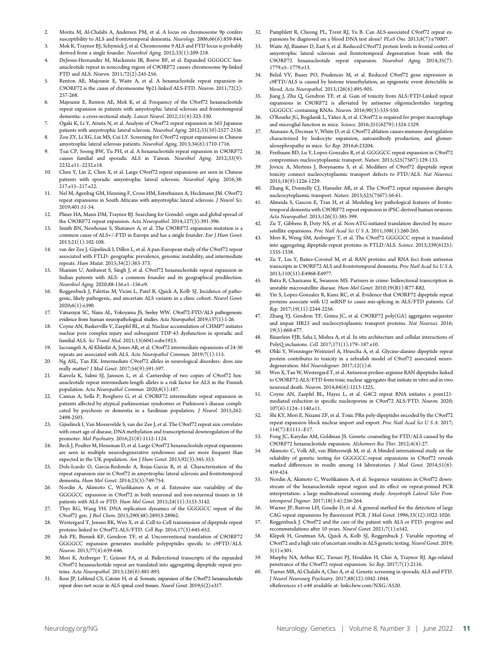- 2. Morita M, Al-Chalabi A, Andersen PM, et al. A locus on chromosome 9p confers susceptibility to ALS and frontotemporal dementia. Neurology. 2006;66(6):839-844.
- 3. Mok K, Traynor BJ, Schymick J, et al. Chromosome 9 ALS and FTD locus is probably derived from a single founder. Neurobiol Aging. 2012;33(1):209-218.
- 4. DeJesus-Hernandez M, Mackenzie IR, Boeve BF, et al. Expanded GGGGCC hexanucleotide repeat in noncoding region of C9ORF72 causes chromosome 9p-linked FTD and ALS. Neuron. 2011;72(2):245-256.
- 5. Renton AE, Majounie E, Waite A, et al. A hexanucleotide repeat expansion in C9ORF72 is the cause of chromosome 9p21-linked ALS-FTD. Neuron. 2011;72(2): 257-268.
- 6. Majounie E, Renton AE, Mok K, et al. Frequency of the C9orf72 hexanucleotide repeat expansion in patients with amyotrophic lateral sclerosis and frontotemporal dementia: a cross-sectional study. Lancet Neurol. 2012;11(4):323-330.
- 7. Ogaki K, Li Y, Atsuta N, et al. Analysis of C9orf72 repeat expansion in 563 Japanese patients with amyotrophic lateral sclerosis. Neurobiol Aging. 2012;33(10):2527-2536.
- 8. Zou ZY, Li XG, Liu MS, Cui LY. Screening for C9orf72 repeat expansions in Chinese amyotrophic lateral sclerosis patients. Neurobiol Aging. 2013;34(6):1710-1716.
- Tsai CP, Soong BW, Tu PH, et al. A hexanucleotide repeat expansion in C9ORF72 causes familial and sporadic ALS in Taiwan. Neurobiol Aging. 2012;33(9): 2232.e11–2232.e18.
- 10. Chen Y, Lin Z, Chen X, et al. Large C9orf72 repeat expansions are seen in Chinese patients with sporadic amyotrophic lateral sclerosis. Neurobiol Aging. 2016;38: 217.e15–217.e22.
- 11. Nel M, Agenbag GM, Henning F, Cross HM, Esterhuizen A, Heckmann JM. C9orf72 repeat expansions in South Africans with amyotrophic lateral sclerosis. J Neurol Sci. 2019;401:51-54.
- 12. Pliner HA, Mann DM, Traynor BJ. Searching for Grendel: origin and global spread of the C9ORF72 repeat expansion. Acta Neuropathol. 2014;127(3):391-396.
- Smith BN, Newhouse S, Shatunov A, et al. The C9ORF72 expansion mutation is a common cause of ALS+/-FTD in Europe and has a single founder. Eur J Hum Genet. 2013;21(1):102-108.
- 14. van der Zee J, Gijselinck I, Dillen L, et al. A pan-European study of the C9orf72 repeat associated with FTLD: geographic prevalence, genomic instability, and intermediate repeats. Hum Mutat. 2013;34(2):363-373.
- 15. Shamim U, Ambawat S, Singh J, et al. C9orf72 hexanucleotide repeat expansion in Indian patients with ALS: a common founder and its geographical predilection. Neurobiol Aging. 2020;88:156.e1–156.e9.
- Roggenbuck J, Palettas M, Vicini L, Patel R, Quick A, Kolb SJ. Incidence of pathogenic, likely pathogenic, and uncertain ALS variants in a clinic cohort. Neurol Genet. 2020;6(1):e390.
- 17. Vatsavayai SC, Nana AL, Yokoyama JS, Seeley WW. C9orf72-FTD/ALS pathogenesis: evidence from human neuropathological studies. Acta Neuropathol. 2019;137(1):1-26.
- 18. Coyne AN, Baskerville V, Zaepfel BL, et al. Nuclear accumulation of CHMP7 initiates nuclear pore complex injury and subsequent TDP-43 dysfunction in sporadic and familial ALS. Sci Transl Med. 2021;13(604):eabe1923.
- 19. Iacoangeli A, Al Khleifat A, Jones AR, et al. C9orf72 intermediate expansions of 24-30 repeats are associated with ALS. Acta Neuropathol Commun. 2019;7(1):115.
- 20. Ng ASL, Tan EK. Intermediate C9orf72 alleles in neurological disorders: does size really matter? J Med Genet. 2017;54(9):591-597.
- 21. Kaivola K, Salmi SJ, Jansson L, et al. Carriership of two copies of C9orf72 hexanucleotide repeat intermediate-length alleles is a risk factor for ALS in the Finnish population. Acta Neuropathol Commun. 2020;8(1):187.
- 22. Cannas A, Solla P, Borghero G, et al. C9ORF72 intermediate repeat expansion in patients affected by atypical parkinsonian syndromes or Parkinson's disease complicated by psychosis or dementia in a Sardinian population. J Neurol. 2015;262: 2498-2503.
- 23. Gijselinck I, Van Mossevelde S, van der Zee J, et al. The C9orf72 repeat size correlates with onset age of disease, DNA methylation and transcriptional downregulation of the promoter. Mol Psychiatry. 2016;21(8):1112-1124.
- 24. Beck J, Poulter M, Hensman D, et al. Large C9orf72 hexanucleotide repeat expansions are seen in multiple neurodegenerative syndromes and are more frequent than expected in the UK population. Am J Hum Genet. 2013;92(3):345-353.
- 25. Dols-Icardo O, Garcia-Redondo A, Rojas-Garcia R, et al. Characterization of the repeat expansion size in C9orf72 in amyotrophic lateral sclerosis and frontotemporal dementia. Hum Mol Genet. 2014;23(3):749-754.
- 26. Nordin A, Akimoto C, Wuolikainen A, et al. Extensive size variability of the GGGGCC expansion in C9orf72 in both neuronal and non-neuronal tissues in 18 patients with ALS or FTD. Hum Mol Genet. 2015;24(11):3133-3142.
- 27. Thys RG, Wang YH. DNA replication dynamics of the GGGGCC repeat of the C9orf72 gen. J Biol Chem. 2015;290(48):28953-28962.
- 28. Westergard T, Jensen BK, Wen X, et al. Cell-to-Cell transmission of dipeptide repeat proteins linked to C9orf72-ALS/FTD. Cell Rep. 2016;17(3):645-652.
- 29. Ash PE, Bieniek KF, Gendron TF, et al. Unconventional translation of C9ORF72 GGGGCC expansion generates insoluble polypeptides specific to c9FTD/ALS. Neuron. 2013;77(4):639-646.
- 30. Mori K, Arzberger T, Grässer FA, et al. Bidirectional transcripts of the expanded C9orf72 hexanucleotide repeat are translated into aggregating dipeptide repeat proteins. Acta Neuropathol. 2013;126(6):881-893.
- 31. Ross JP, Leblond CS, Catoire H, et al. Somatic expansion of the C9orf72 hexanucleotide repeat does not occur in ALS spinal cord tissues. Neurol Genet. 2019;5(2):e317.
- 32. Pamphlett R, Cheong PL, Trent RJ, Yu B. Can ALS-associated C9orf72 repeat expansions be diagnosed on a blood DNA test alone? PLoS One. 2013;8(7):e70007.
- 33. Waite AJ, Bäumer D, East S, et al. Reduced C9orf72 protein levels in frontal cortex of amyotrophic lateral sclerosis and frontotemporal degeneration brain with the C9ORF72 hexanucleotide repeat expansion. Neurobiol Aging. 2014;35(7): 1779.e5–1779.e13.
- 34. Belzil VV, Bauer PO, Prudencio M, et al. Reduced C9orf72 gene expression in c9FTD/ALS is caused by histone trimethylation, an epigenetic event detectable in blood. Acta Neuropathol. 2013;126(6):895-905.
- Jiang J, Zhu Q, Gendron TF, et al. Gain of toxicity from ALS/FTD-Linked repeat expansions in C9ORF72 is alleviated by antisense oligonucleotides targeting GGGGCC-containing RNAs. Neuron. 2016;90(3):535-550.
- 36. O'Rourke JG, Bogdanik L, Yáñez A, et al. C9orf72 is required for proper macrophage and microglial function in mice. Science. 2016;351(6279):1324-1329.
- 37. Atanasio A, Decman V, White D, et al. C9orf72 ablation causes immune dysregulation characterized by leukocyte expansion, autoantibody production, and glomerulonephropathy in mice. Sci Rep. 2016;6:23204.
- 38. Freibaum BD, Lu Y, Lopez-Gonzalez R, et al. GGGGCC repeat expansion in C9orf72 compromises nucleocytoplasmic transport. Nature. 2015;525(7567):129-133.
- 39. Jovicic A, Mertens J, Boeynaems S, et al. Modifiers of C9orf72 dipeptide repeat toxicity connect nucleocytoplasmic transport defects to FTD/ALS. Nat Neurosci. 2015;18(9):1226-1229.
- 40. Zhang K, Donnelly CJ, Haeusler AR, et al. The C9orf72 repeat expansion disrupts nucleocytoplasmic transport. Nature. 2015;525(7567):56-61.
- 41. Almeida S, Gascon E, Tran H, et al. Modeling key pathological features of frontotemporal dementia with C9ORF72 repeat expansion in iPSC-derived human neurons. Acta Neuropathol. 2013;126(3):385-399.
- 42. Zu T, Gibbens B, Doty NS, et al. Non-ATG-initiated translation directed by microsatellite expansions. Proc Natl Acad Sci U S A. 2011;108(1):260-265.
- 43. Mori K, Weng SM, Arzberger T, et al. The C9orf72 GGGGCC repeat is translated into aggregating dipeptide-repeat proteins in FTLD/ALS. Science. 2013;339(6125): 1335-1338.
- 44. Zu T, Liu Y, Bañez-Coronel M, et al. RAN proteins and RNA foci from antisense transcripts in C9ORF72 ALS and frontotemporal dementia. Proc Natl Acad Sci U S A. 2013;110(51):E4968-E4977.
- 45. Batra R, Charizanis K, Swanson MS. Partners in crime: bidirectional transcription in unstable microsatellite disease. Hum Mol Genet. 2010;19(R1):R77-R82.
- 46. Yin S, Lopez-Gonzalez R, Kunz RC, et al. Evidence that C9ORF72 dipeptide repeat proteins associate with U2 snRNP to cause mis-splicing in ALS/FTD patients. Cel Rep. 2017;19(11):2244-2256.
- 47. Zhang YJ, Gendron TF, Grima JC, et al. C9ORF72 poly(GA) aggregates sequester and impair HR23 and nucleocytoplasmic transport proteins. Nat Neurosci. 2016; 19(5):668-677.
- 48. Bäuerlein FJB, Saha I, Mishra A, et al. In situ architecture and cellular interactions of PolyQ inclusions. Cell. 2017;171(1):179–187.e10.
- 49. Ohki Y, Wenninger-Weinzierl A, Hruscha A, et al. Glycine-alanine dipeptide repeat protein contributes to toxicity in a zebrafish model of C9orf72 associated neurodegeneration. Mol Neurodegener. 2017;12(1):6.
- 50. Wen X, Tan W, Westergard T, et al. Antisense proline-arginine RAN dipeptides linked to C9ORF72-ALS/FTD form toxic nuclear aggregates that initiate in vitro and in vivo neuronal death. Neuron. 2014;84(6):1213-1225.
- 51. Coyne AN, Zaepfel BL, Hayes L, et al. G4C2 repeat RNA initiates a pom121 mediated reduction in specific nucleoporins in C9orf72 ALS/FTD. Neuron. 2020; 107(6):1124–1140.e11.
- 52. Shi KY, Mori E, Nizami ZF, et al. Toxic PRn poly-dipeptides encoded by the C9orf72 repeat expansion block nuclear import and export. Proc Natl Acad Sci U S A. 2017; 114(7):E1111–E17.
- 53. Fong JC, Karydas AM, Goldman JS. Genetic counseling for FTD/ALS caused by the C9ORF72 hexanucleotide expansion. Alzheimers Res Ther. 2012;4(4):27.
- Akimoto C, Volk AE, van Blitterswijk M, et al. A blinded international study on the reliability of genetic testing for GGGGCC-repeat expansions in C9orf72 reveals marked differences in results among 14 laboratories. J Med Genet. 2014;51(6): 419-424.
- 55. Nordin A, Akimoto C, Wuolikainen A, et al. Sequence variations in C9orf72 downstream of the hexanucleotide repeat region and its effect on repeat-primed PCR interpretation: a large multinational screening study. Amyotroph Lateral Scler Frontotemporal Degener. 2017;18(3-4):256-264.
- 56. Warner JP, Barron LH, Goudie D, et al. A general method for the detection of large CAG repeat expansions by fluorescent PCR. J Med Genet. 1996;33(12):1022-1026.
- 57. Roggenbuck J. C9orf72 and the care of the patient with ALS or FTD: progress and recommendations after 10 years. Neurol Genet. 2021;7(1):e542.
- 58. Klepek H, Goutman SA, Quick A, Kolb SJ, Roggenbuck J. Variable reporting of C9orf72 and a high rate of uncertain results in ALS genetic testing.Neurol Genet. 2019; 5(1):e301.
- 59. Murphy NA, Arthur KC, Tienari PJ, Houlden H, Chiò A, Traynor BJ. Age-related penetrance of the C9orf72 repeat expansion. Sci Rep. 2017;7(1):2116.
- 60. Turner MR, Al-Chalabi A, Chio A, et al. Genetic screening in sporadic ALS and FTD. J Neurol Neurosurg Psychiatry. 2017;88(12):1042-1044. eReferences e1-e48 available at: [links.lww.com/NXG/A520.](http://links.lww.com/NXG/A520)